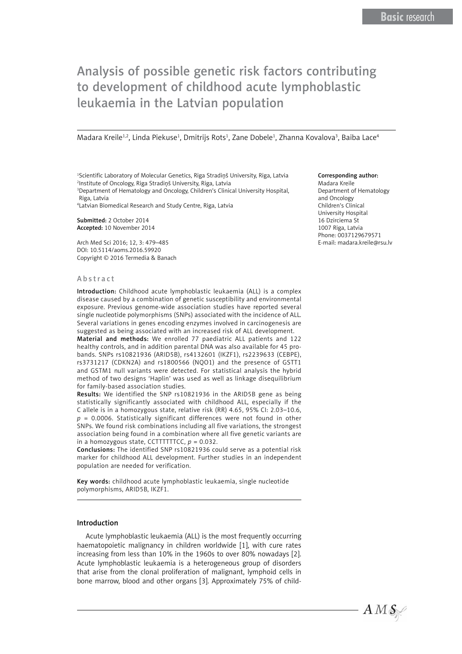# Analysis of possible genetic risk factors contributing to development of childhood acute lymphoblastic leukaemia in the Latvian population

Madara Kreile<sup>1,2</sup>, Linda Piekuse<sup>1</sup>, Dmitrijs Rots<sup>1</sup>, Zane Dobele<sup>1</sup>, Zhanna Kovalova<sup>3</sup>, Baiba Lace<sup>4</sup>

<sup>1</sup>Scientific Laboratory of Molecular Genetics, Riga Stradiņš University, Riga, Latvia 2 Institute of Oncology, Riga Stradiņš University, Riga, Latvia

3 Department of Hematology and Oncology, Children's Clinical University Hospital, Riga, Latvia

4 Latvian Biomedical Research and Study Centre, Riga, Latvia

Submitted: 2 October 2014 Accepted: 10 November 2014

Arch Med Sci 2016; 12, 3: 479–485 DOI: 10.5114/aoms.2016.59920 Copyright © 2016 Termedia & Banach

#### Abstract

Introduction: Childhood acute lymphoblastic leukaemia (ALL) is a complex disease caused by a combination of genetic susceptibility and environmental exposure. Previous genome-wide association studies have reported several single nucleotide polymorphisms (SNPs) associated with the incidence of ALL. Several variations in genes encoding enzymes involved in carcinogenesis are suggested as being associated with an increased risk of ALL development.

Material and methods: We enrolled 77 paediatric ALL patients and 122 healthy controls, and in addition parental DNA was also available for 45 probands. SNPs rs10821936 (ARID5B), rs4132601 (IKZF1), rs2239633 (CEBPE), rs3731217 (CDKN2A) and rs1800566 (NQO1) and the presence of GSTT1 and GSTM1 null variants were detected. For statistical analysis the hybrid method of two designs 'Haplin' was used as well as linkage disequilibrium for family-based association studies.

Results: We identified the SNP rs10821936 in the ARID5B gene as being statistically significantly associated with childhood ALL, especially if the C allele is in a homozygous state, relative risk (RR) 4.65, 95% CI: 2.03–10.6, *p* = 0.0006. Statistically significant differences were not found in other SNPs. We found risk combinations including all five variations, the strongest association being found in a combination where all five genetic variants are in a homozygous state, CCTTTTTTCC, *p* = 0.032.

Conclusions: The identified SNP rs10821936 could serve as a potential risk marker for childhood ALL development. Further studies in an independent population are needed for verification.

Key words: childhood acute lymphoblastic leukaemia, single nucleotide polymorphisms, ARID5B, IKZF1.

## Introduction

Acute lymphoblastic leukaemia (ALL) is the most frequently occurring haematopoietic malignancy in children worldwide [1], with cure rates increasing from less than 10% in the 1960s to over 80% nowadays [2]. Acute lymphoblastic leukaemia is a heterogeneous group of disorders that arise from the clonal proliferation of malignant, lymphoid cells in bone marrow, blood and other organs [3]. Approximately 75% of child-

## Corresponding author:

Madara Kreile Department of Hematology and Oncology Children's Clinical University Hospital 16 Dzirciema St 1007 Riga, Latvia Phone: 0037129679571 E-mail: madara.kreile@rsu.lv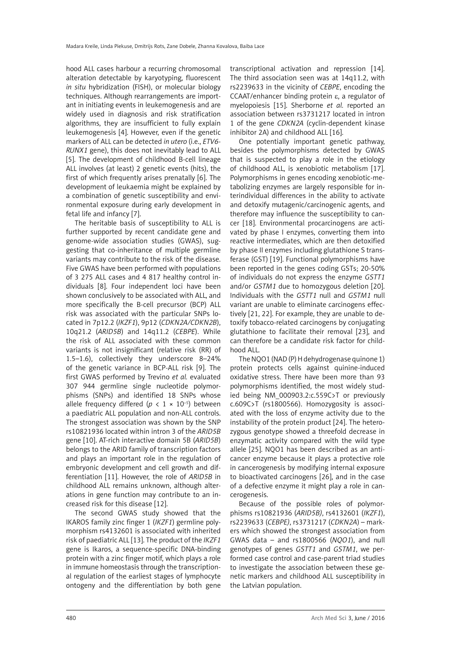hood ALL cases harbour a recurring chromosomal alteration detectable by karyotyping, fluorescent *in situ* hybridization (FISH), or molecular biology techniques. Although rearrangements are important in initiating events in leukemogenesis and are widely used in diagnosis and risk stratification algorithms, they are insufficient to fully explain leukemogenesis [4]. However, even if the genetic markers of ALL can be detected *in utero* (i.e., *ETV6- RUNX1* gene), this does not inevitably lead to ALL [5]. The development of childhood B-cell lineage ALL involves (at least) 2 genetic events (hits), the first of which frequently arises prenatally [6]. The development of leukaemia might be explained by a combination of genetic susceptibility and environmental exposure during early development in fetal life and infancy [7].

The heritable basis of susceptibility to ALL is further supported by recent candidate gene and genome-wide association studies (GWAS), suggesting that co-inheritance of multiple germline variants may contribute to the risk of the disease. Five GWAS have been performed with populations of 3 275 ALL cases and 4 817 healthy control individuals [8]. Four independent loci have been shown conclusively to be associated with ALL, and more specifically the B-cell precursor (BCP) ALL risk was associated with the particular SNPs located in 7p12.2 (*IKZF1*), 9p12 (*CDKN2A/CDKN2B*), 10q21.2 (*ARID5B*) and 14q11.2 (*CEBPE*). While the risk of ALL associated with these common variants is not insignificant (relative risk (RR) of 1.5–1.6), collectively they underscore 8–24% of the genetic variance in BCP-ALL risk [9]. The first GWAS performed by Trevino *et al.* evaluated 307 944 germline single nucleotide polymorphisms (SNPs) and identified 18 SNPs whose allele frequency differed ( $p < 1 \times 10^{-5}$ ) between a paediatric ALL population and non-ALL controls. The strongest association was shown by the SNP rs10821936 located within intron 3 of the *ARID5B* gene [10]. AT-rich interactive domain 5B (*ARID5B*) belongs to the ARID family of transcription factors and plays an important role in the regulation of embryonic development and cell growth and differentiation [11]. However, the role of *ARID5B* in childhood ALL remains unknown, although alterations in gene function may contribute to an increased risk for this disease [12].

The second GWAS study showed that the IKAROS family zinc finger 1 (*IKZF1*) germline polymorphism rs4132601 is associated with inherited risk of paediatric ALL [13]. The product of the *IKZF1* gene is Ikaros, a sequence-specific DNA-binding protein with a zinc finger motif, which plays a role in immune homeostasis through the transcriptional regulation of the earliest stages of lymphocyte ontogeny and the differentiation by both gene

transcriptional activation and repression [14]. The third association seen was at 14q11.2, with rs2239633 in the vicinity of *CEBPE*, encoding the CCAAT/enhancer binding protein e, a regulator of myelopoiesis [15]. Sherborne *et al.* reported an association between rs3731217 located in intron 1 of the gene *CDKN2A* (cyclin-dependent kinase inhibitor 2A) and childhood ALL [16].

One potentially important genetic pathway, besides the polymorphisms detected by GWAS that is suspected to play a role in the etiology of childhood ALL, is xenobiotic metabolism [17]. Polymorphisms in genes encoding xenobiotic-metabolizing enzymes are largely responsible for interindividual differences in the ability to activate and detoxify mutagenic/carcinogenic agents, and therefore may influence the susceptibility to cancer [18]. Environmental procarcinogens are activated by phase I enzymes, converting them into reactive intermediates, which are then detoxified by phase II enzymes including glutathione S transferase (GST) [19]. Functional polymorphisms have been reported in the genes coding GSTs; 20-50% of individuals do not express the enzyme *GSTT1* and/or *GSTM1* due to homozygous deletion [20]. Individuals with the *GSTT1* null and *GSTM1* null variant are unable to eliminate carcinogens effectively [21, 22]. For example, they are unable to detoxify tobacco-related carcinogens by conjugating glutathione to facilitate their removal [23], and can therefore be a candidate risk factor for childhood ALL.

The NQO1 (NAD (P) H dehydrogenase quinone 1) protein protects cells against quinine-induced oxidative stress. There have been more than 93 polymorphisms identified, the most widely studied being NM\_000903.2:c.559C>T or previously c.609C>T (rs1800566). Homozygosity is associated with the loss of enzyme activity due to the instability of the protein product [24]. The heterozygous genotype showed a threefold decrease in enzymatic activity compared with the wild type allele [25]. NQO1 has been described as an anticancer enzyme because it plays a protective role in cancerogenesis by modifying internal exposure to bioactivated carcinogens [26], and in the case of a defective enzyme it might play a role in cancerogenesis.

Because of the possible roles of polymorphisms rs10821936 (*ARID5B)*, rs4132601 (*IKZF1*), rs2239633 (*CEBPE)*, rs3731217 (*CDKN2A*) – markers which showed the strongest association from GWAS data – and rs1800566 (*NQO1*), and null genotypes of genes *GSTT1* and *GSTM1*, we performed case control and case-parent triad studies to investigate the association between these genetic markers and childhood ALL susceptibility in the Latvian population.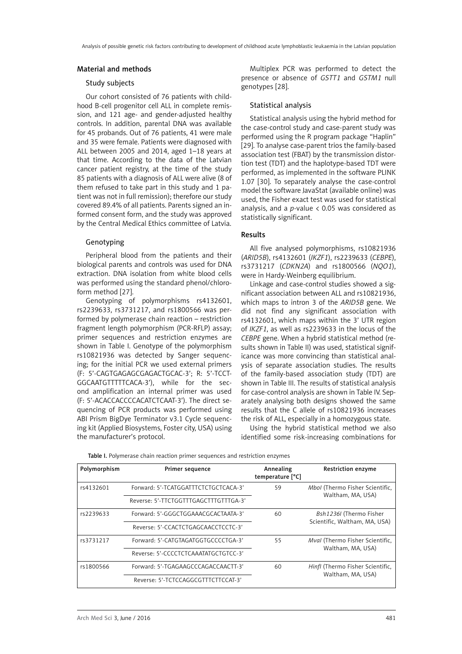## Material and methods

## Study subjects

Our cohort consisted of 76 patients with childhood B-cell progenitor cell ALL in complete remission, and 121 age- and gender-adjusted healthy controls. In addition, parental DNA was available for 45 probands. Out of 76 patients, 41 were male and 35 were female. Patients were diagnosed with ALL between 2005 and 2014, aged 1–18 years at that time. According to the data of the Latvian cancer patient registry, at the time of the study 85 patients with a diagnosis of ALL were alive (8 of them refused to take part in this study and 1 patient was not in full remission); therefore our study covered 89.4% of all patients. Parents signed an informed consent form, and the study was approved by the Central Medical Ethics committee of Latvia.

## Genotyping

Peripheral blood from the patients and their biological parents and controls was used for DNA extraction. DNA isolation from white blood cells was performed using the standard phenol/chloroform method [27].

Genotyping of polymorphisms rs4132601, rs2239633, rs3731217, and rs1800566 was performed by polymerase chain reaction – restriction fragment length polymorphism (PCR-RFLP) assay; primer sequences and restriction enzymes are shown in Table I. Genotype of the polymorphism rs10821936 was detected by Sanger sequencing; for the initial PCR we used external primers (F: 5'-CAGTGAGAGCGAGACTGCAC-3'; R: 5'-TCCT-GGCAATGTTTTTCACA-3'), while for the second amplification an internal primer was used (F: 5'-ACACCACCCCACATCTCAAT-3'). The direct sequencing of PCR products was performed using ABI Prism BigDye Terminator v3.1 Cycle sequencing kit (Applied Biosystems, Foster city, USA) using the manufacturer's protocol.

Multiplex PCR was performed to detect the presence or absence of *GSTT1* and *GSTM1* null genotypes [28].

#### Statistical analysis

Statistical analysis using the hybrid method for the case-control study and case-parent study was performed using the R program package "Haplin" [29]. To analyse case-parent trios the family-based association test (FBAT) by the transmission distortion test (TDT) and the haplotype-based TDT were performed, as implemented in the software PLINK 1.07 [30]. To separately analyse the case-control model the software JavaStat (available online) was used, the Fisher exact test was used for statistical analysis, and a *p*-value < 0.05 was considered as statistically significant.

## Results

All five analysed polymorphisms, rs10821936 (*ARID5B*), rs4132601 (*IKZF1*), rs2239633 (*CEBPE*), rs3731217 (*CDKN2A*) and rs1800566 (*NQO1*), were in Hardy-Weinberg equilibrium.

Linkage and case-control studies showed a significant association between ALL and rs10821936, which maps to intron 3 of the *ARID5B* gene. We did not find any significant association with rs4132601, which maps within the 3' UTR region of *IKZF1*, as well as rs2239633 in the locus of the *CEBPE* gene. When a hybrid statistical method (results shown in Table II) was used, statistical significance was more convincing than statistical analysis of separate association studies. The results of the family-based association study (TDT) are shown in Table III. The results of statistical analysis for case-control analysis are shown in Table IV. Separately analysing both designs showed the same results that the C allele of rs10821936 increases the risk of ALL, especially in a homozygous state.

Using the hybrid statistical method we also identified some risk-increasing combinations for

| Polymorphism | Primer sequence                       | Annealing<br>temperature [°C] | <b>Restriction enzyme</b>                            |  |
|--------------|---------------------------------------|-------------------------------|------------------------------------------------------|--|
| rs4132601    | Forward: 5'-TCATGGATTTCTCTGCTCACA-3'  | 59                            | Mbol (Thermo Fisher Scientific,<br>Waltham, MA, USA) |  |
|              | Reverse: 5'-TTCTGGTTTGAGCTTTGTTTGA-3' |                               |                                                      |  |
| rs2239633    | Forward: 5'-GGGCTGGAAACGCACTAATA-3'   | 60                            | Bsh1236I (Thermo Fisher                              |  |
|              | Reverse: 5'-CCACTCTGAGCAACCTCCTC-3'   |                               | Scientific, Waltham, MA, USA)                        |  |
| rs3731217    | Forward: 5'-CATGTAGATGGTGCCCCTGA-3'   | 55                            | Mval (Thermo Fisher Scientific,                      |  |
|              | Reverse: 5'-CCCCTCTCAAATATGCTGTCC-3'  |                               | Waltham, MA, USA)                                    |  |
| rs1800566    | Forward: 5'-TGAGAAGCCCAGACCAACTT-3'   | 60                            | Hinfl (Thermo Fisher Scientific,                     |  |
|              | Reverse: 5'-TCTCCAGGCGTTTCTTCCAT-3'   |                               | Waltham, MA, USA)                                    |  |

Table I. Polymerase chain reaction primer sequences and restriction enzymes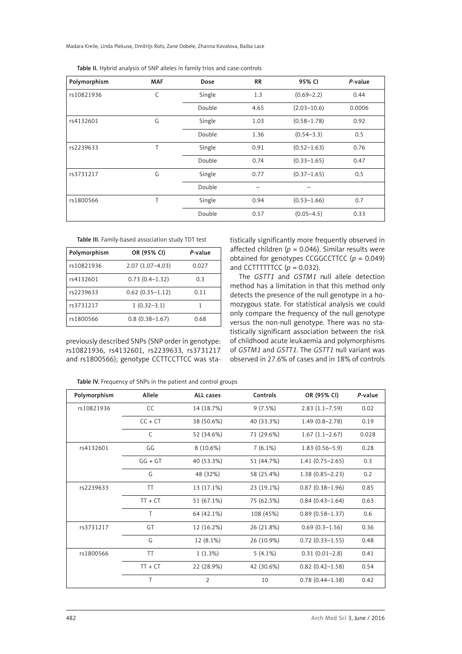Madara Kreile, Linda Piekuse, Dmitrijs Rots, Zane Dobele, Zhanna Kovalova, Baiba Lace

| Polymorphism | <b>MAF</b>   | Dose   | <b>RR</b> | 95% CI          | P-value |
|--------------|--------------|--------|-----------|-----------------|---------|
| rs10821936   | $\mathsf{C}$ | Single | 1.3       | $(0.69 - 2.2)$  | 0.44    |
|              |              | Double | 4.65      | $(2.03 - 10.6)$ | 0.0006  |
| rs4132601    | G            | Single | 1.03      | $(0.58 - 1.78)$ | 0.92    |
|              |              | Double | 1.36      | $(0.54 - 3.3)$  | 0.5     |
| rs2239633    | T            | Single | 0.91      | $(0.52 - 1.63)$ | 0.76    |
|              |              | Double | 0.74      | $(0.33 - 1.65)$ | 0.47    |
| rs3731217    | G            | Single | 0.77      | $(0.37 - 1.65)$ | 0.5     |
|              |              | Double |           |                 |         |
| rs1800566    | T            | Single | 0.94      | $(0.53 - 1.66)$ | 0.7     |
|              |              | Double | 0.57      | $(0.05 - 4.5)$  | 0.33    |

Table II. Hybrid analysis of SNP alleles in family trios and case-controls

Table III. Family-based association study TDT test

| Polymorphism | OR (95% CI)         | P-value |  |
|--------------|---------------------|---------|--|
| rs10821936   | $2.07(1.07 - 4.03)$ | 0.027   |  |
| rs4132601    | $0.73(0.4 - 1.32)$  | 0.3     |  |
| rs2239633    | $0.62(0.35 - 1.12)$ | 0.11    |  |
| rs3731217    | $1(0.32 - 3.1)$     |         |  |
| rs1800566    | $0.8(0.38 - 1.67)$  | 0.68    |  |

previously described SNPs (SNP order in genotype: rs10821936, rs4132601, rs2239633, rs3731217 and rs1800566); genotype CCTTCCTTCC was statistically significantly more frequently observed in affected children ( $p = 0.046$ ). Similar results were obtained for genotypes CCGGCCTTCC (*p* = 0.049) and CCTTTTTTCC  $(p = 0.032)$ .

The *GSTT1* and *GSTM1* null allele detection method has a limitation in that this method only detects the presence of the null genotype in a homozygous state. For statistical analysis we could only compare the frequency of the null genotype versus the non-null genotype. There was no statistically significant association between the risk of childhood acute leukaemia and polymorphisms of *GSTM1* and *GSTT1*. The *GSTT1* null variant was observed in 27.6% of cases and in 18% of controls

|  | Table IV. Frequency of SNPs in the patient and control groups |  |
|--|---------------------------------------------------------------|--|
|  |                                                               |  |

| Polymorphism | Allele    | ALL cases      | Controls   | OR (95% CI)         | P-value |
|--------------|-----------|----------------|------------|---------------------|---------|
| rs10821936   | CC        | 14 (18.7%)     | 9(7.5%)    | $2.83(1.1 - 7.59)$  | 0.02    |
|              | $CC + CT$ | 38 (50.6%)     | 40 (33.3%) | $1.49(0.8 - 2.78)$  | 0.19    |
|              | C         | 52 (34.6%)     | 71 (29.6%) | $1.67(1.1-2.67)$    | 0.028   |
| rs4132601    | GG        | 8 (10.6%)      | $7(6.1\%)$ | $1.83(0.56 - 5.9)$  | 0.28    |
|              | $GG + GT$ | 40 (53.3%)     | 51 (44.7%) | $1.41(0.75 - 2.65)$ | 0.3     |
|              | G         | 48 (32%)       | 58 (25.4%) | $1.38(0.85 - 2.23)$ | 0.2     |
| rs2239633    | TT        | 13 (17.1%)     | 23 (19.1%) | $0.87(0.38 - 1.96)$ | 0.85    |
|              | $TT + CT$ | 51 (67.1%)     | 75 (62.5%) | $0.84(0.43 - 1.64)$ | 0.63    |
|              | T.        | 64 (42.1%)     | 108 (45%)  | $0.89(0.58 - 1.37)$ | 0.6     |
| rs3731217    | GT        | 12 (16.2%)     | 26 (21.8%) | $0.69(0.3-1.56)$    | 0.36    |
|              | G         | 12 (8.1%)      | 26 (10.9%) | $0.72(0.33 - 1.55)$ | 0.48    |
| rs1800566    | <b>TT</b> | $1(1.3\%)$     | $5(4.1\%)$ | $0.31(0.01-2.8)$    | 0.41    |
|              | $TT + CT$ | 22 (28.9%)     | 42 (30.6%) | $0.82(0.42 - 1.58)$ | 0.54    |
|              | T         | $\overline{2}$ | 10         | $0.78(0.44 - 1.38)$ | 0.42    |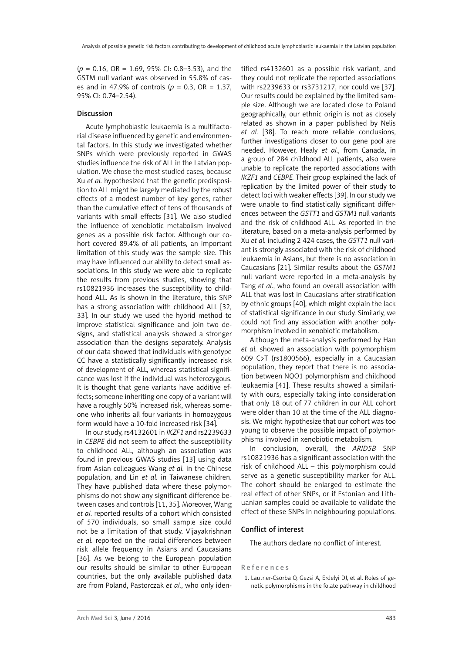(*p* = 0.16, OR = 1.69, 95% CI: 0.8–3.53), and the GSTM null variant was observed in 55.8% of cases and in 47.9% of controls (*p* = 0.3, OR = 1.37, 95% CI: 0.74–2.54).

## Discussion

Acute lymphoblastic leukaemia is a multifactorial disease influenced by genetic and environmental factors. In this study we investigated whether SNPs which were previously reported in GWAS studies influence the risk of ALL in the Latvian population. We chose the most studied cases, because Xu *et al.* hypothesized that the genetic predisposition to ALL might be largely mediated by the robust effects of a modest number of key genes, rather than the cumulative effect of tens of thousands of variants with small effects [31]. We also studied the influence of xenobiotic metabolism involved genes as a possible risk factor. Although our cohort covered 89.4% of all patients, an important limitation of this study was the sample size. This may have influenced our ability to detect small associations. In this study we were able to replicate the results from previous studies, showing that rs10821936 increases the susceptibility to childhood ALL. As is shown in the literature, this SNP has a strong association with childhood ALL [32, 33]. In our study we used the hybrid method to improve statistical significance and join two designs, and statistical analysis showed a stronger association than the designs separately. Analysis of our data showed that individuals with genotype CC have a statistically significantly increased risk of development of ALL, whereas statistical significance was lost if the individual was heterozygous. It is thought that gene variants have additive effects; someone inheriting one copy of a variant will have a roughly 50% increased risk, whereas someone who inherits all four variants in homozygous form would have a 10-fold increased risk [34].

In our study, rs4132601 in *IKZF1* and rs2239633 in *CEBPE* did not seem to affect the susceptibility to childhood ALL, although an association was found in previous GWAS studies [13] using data from Asian colleagues Wang *et al.* in the Chinese population, and Lin *et al.* in Taiwanese children. They have published data where these polymorphisms do not show any significant difference between cases and controls [11, 35]. Moreover, Wang *et al.* reported results of a cohort which consisted of 570 individuals, so small sample size could not be a limitation of that study. Vijayakrishnan *et al.* reported on the racial differences between risk allele frequency in Asians and Caucasians [36]. As we belong to the European population our results should be similar to other European countries, but the only available published data are from Poland, Pastorczak *et al.*, who only identified rs4132601 as a possible risk variant, and they could not replicate the reported associations with rs2239633 or rs3731217, nor could we [37]. Our results could be explained by the limited sample size. Although we are located close to Poland geographically, our ethnic origin is not as closely related as shown in a paper published by Nelis *et al.* [38]. To reach more reliable conclusions, further investigations closer to our gene pool are needed. However, Healy *et al.*, from Canada, in a group of 284 childhood ALL patients, also were unable to replicate the reported associations with *IKZF1* and *CEBPE.* Their group explained the lack of replication by the limited power of their study to detect loci with weaker effects [39]. In our study we were unable to find statistically significant differences between the *GSTT1* and *GSTM1* null variants and the risk of childhood ALL. As reported in the literature, based on a meta-analysis performed by Xu *et al.* including 2 424 cases, the *GSTT1* null variant is strongly associated with the risk of childhood leukaemia in Asians, but there is no association in Caucasians [21]. Similar results about the *GSTM1* null variant were reported in a meta-analysis by Tang *et al*., who found an overall association with ALL that was lost in Caucasians after stratification by ethnic groups [40], which might explain the lack of statistical significance in our study. Similarly, we could not find any association with another polymorphism involved in xenobiotic metabolism.

Although the meta-analysis performed by Han *et al.* showed an association with polymorphism 609 C>T (rs1800566), especially in a Caucasian population, they report that there is no association between NQO1 polymorphism and childhood leukaemia [41]. These results showed a similarity with ours, especially taking into consideration that only 18 out of 77 children in our ALL cohort were older than 10 at the time of the ALL diagnosis. We might hypothesize that our cohort was too young to observe the possible impact of polymorphisms involved in xenobiotic metabolism.

In conclusion, overall, the *ARID5B* SNP rs10821936 has a significant association with the risk of childhood ALL – this polymorphism could serve as a genetic susceptibility marker for ALL. The cohort should be enlarged to estimate the real effect of other SNPs, or if Estonian and Lithuanian samples could be available to validate the effect of these SNPs in neighbouring populations.

## Conflict of interest

The authors declare no conflict of interest.

## References

1. Lautner-Csorba O, Gezsi A, Erdelyi DJ, et al. Roles of genetic polymorphisms in the folate pathway in childhood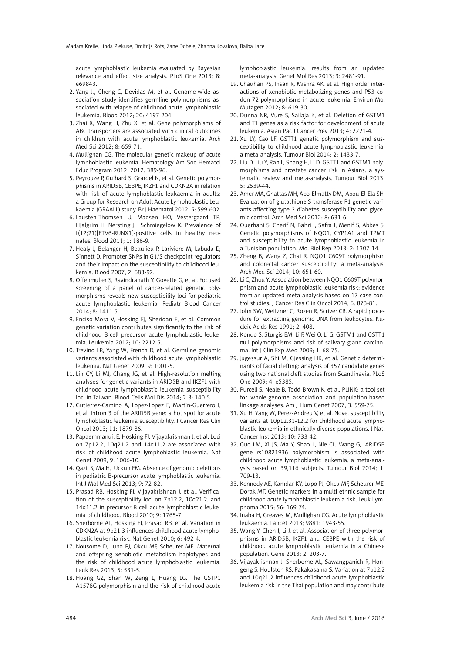acute lymphoblastic leukemia evaluated by Bayesian relevance and effect size analysis. PLoS One 2013; 8: e69843.

- 2. Yang JJ, Cheng C, Devidas M, et al. Genome-wide association study identifies germline polymorphisms associated with relapse of childhood acute lymphoblastic leukemia. Blood 2012; 20: 4197-204.
- 3. Zhai X, Wang H, Zhu X, et al. Gene polymorphisms of ABC transporters are associated with clinical outcomes in children with acute lymphoblastic leukemia. Arch Med Sci 2012; 8: 659-71.
- 4. Mullighan CG. The molecular genetic makeup of acute lymphoblastic leukemia. Hematology Am Soc Hematol Educ Program 2012; 2012: 389-96.
- 5. Peyrouze P, Guihard S, Grardel N, et al. Genetic polymorphisms in ARID5B, CEBPE, IKZF1 and CDKN2A in relation with risk of acute lymphoblastic leukaemia in adults: a Group for Research on Adult Acute Lymphoblastic Leukaemia (GRAALL) study. Br J Haematol 2012; 5: 599-602.
- 6. Lausten-Thomsen U, Madsen HO, Vestergaard TR, Hjalgrim H, Nersting J, Schmiegelow K. Prevalence of t(12;21)[ETV6-RUNX1]-positive cells in healthy neonates. Blood 2011; 1: 186-9.
- 7. Healy J, Belanger H, Beaulieu P, Lariviere M, Labuda D, Sinnett D. Promoter SNPs in G1/S checkpoint regulators and their impact on the susceptibility to childhood leukemia. Blood 2007; 2: 683-92.
- 8. Offenmuller S, Ravindranath Y, Goyette G, et al. Focused screening of a panel of cancer-related genetic polymorphisms reveals new susceptibility loci for pediatric acute lymphoblastic leukemia. Pediatr Blood Cancer 2014; 8: 1411-5.
- 9. Enciso-Mora V, Hosking FJ, Sheridan E, et al. Common genetic variation contributes significantly to the risk of childhood B-cell precursor acute lymphoblastic leukemia. Leukemia 2012; 10: 2212-5.
- 10. Trevino LR, Yang W, French D, et al. Germline genomic variants associated with childhood acute lymphoblastic leukemia. Nat Genet 2009; 9: 1001-5.
- 11. Lin CY, Li MJ, Chang JG, et al. High-resolution melting analyses for genetic variants in ARID5B and IKZF1 with childhood acute lymphoblastic leukemia susceptibility loci in Taiwan. Blood Cells Mol Dis 2014; 2-3: 140-5.
- 12. Gutierrez-Camino A, Lopez-Lopez E, Martin-Guerrero I, et al. Intron 3 of the ARID5B gene: a hot spot for acute lymphoblastic leukemia susceptibility. J Cancer Res Clin Oncol 2013; 11: 1879-86.
- 13. Papaemmanuil E, Hosking FJ, Vijayakrishnan J, et al. Loci on 7p12.2, 10q21.2 and 14q11.2 are associated with risk of childhood acute lymphoblastic leukemia. Nat Genet 2009; 9: 1006-10.
- 14. Qazi, S, Ma H, Uckun FM. Absence of genomic deletions in pediatric B-precursor acute lymphoblastic leukemia. Int J Mol Med Sci 2013; 9: 72-82.
- 15. Prasad RB, Hosking FJ, Vijayakrishnan J, et al. Verification of the susceptibility loci on 7p12.2, 10q21.2, and 14q11.2 in precursor B-cell acute lymphoblastic leukemia of childhood. Blood 2010; 9: 1765-7.
- 16. Sherborne AL, Hosking FJ, Prasad RB, et al. Variation in CDKN2A at 9p21.3 influences childhood acute lymphoblastic leukemia risk. Nat Genet 2010; 6: 492-4.
- 17. Nousome D, Lupo PJ, Okcu MF, Scheurer ME. Maternal and offspring xenobiotic metabolism haplotypes and the risk of childhood acute lymphoblastic leukemia. Leuk Res 2013; 5: 531-5.
- 18. Huang GZ, Shan W, Zeng L, Huang LG. The GSTP1 A1578G polymorphism and the risk of childhood acute

lymphoblastic leukemia: results from an updated meta-analysis. Genet Mol Res 2013; 3: 2481-91.

- 19. Chauhan PS, Ihsan R, Mishra AK, et al. High order interactions of xenobiotic metabolizing genes and P53 codon 72 polymorphisms in acute leukemia. Environ Mol Mutagen 2012; 8: 619-30.
- 20. Dunna NR, Vure S, Sailaja K, et al. Deletion of GSTM1 and T1 genes as a risk factor for development of acute leukemia. Asian Pac J Cancer Prev 2013; 4: 2221-4.
- 21. Xu LY, Cao LF. GSTT1 genetic polymorphism and susceptibility to childhood acute lymphoblastic leukemia: a meta-analysis. Tumour Biol 2014; 2: 1433-7.
- 22. Liu D, Liu Y, Ran L, Shang H, Li D. GSTT1 and GSTM1 polymorphisms and prostate cancer risk in Asians: a systematic review and meta-analysis. Tumour Biol 2013; 5: 2539-44.
- 23. Amer MA, Ghattas MH, Abo-Elmatty DM, Abou-El-Ela SH. Evaluation of glutathione S-transferase P1 genetic variants affecting type-2 diabetes susceptibility and glycemic control. Arch Med Sci 2012; 8: 631-6.
- 24. Ouerhani S, Cherif N, Bahri I, Safra I, Menif S, Abbes S. Genetic polymorphisms of NQO1, CYP1A1 and TPMT and susceptibility to acute lymphoblastic leukemia in a Tunisian population. Mol Biol Rep 2013; 2: 1307-14.
- 25. Zheng B, Wang Z, Chai R. NQO1 C609T polymorphism and colorectal cancer susceptibility: a meta-analysis. Arch Med Sci 2014; 10: 651-60.
- 26. Li C, Zhou Y. Association between NQO1 C609T polymorphism and acute lymphoblastic leukemia risk: evidence from an updated meta-analysis based on 17 case-control studies. J Cancer Res Clin Oncol 2014; 6: 873-81.
- 27. John SW, Weitzner G, Rozen R, Scriver CR. A rapid procedure for extracting genomic DNA from leukocytes. Nucleic Acids Res 1991; 2: 408.
- 28. Kondo S, Sturgis EM, Li F, Wei Q, Li G. GSTM1 and GSTT1 null polymorphisms and risk of salivary gland carcinoma. Int J Clin Exp Med 2009; 1: 68-75.
- 29. Jugessur A, Shi M, Gjessing HK, et al. Genetic determinants of facial clefting: analysis of 357 candidate genes using two national cleft studies from Scandinavia. PLoS One 2009; 4: e5385.
- 30. Purcell S, Neale B, Todd-Brown K, et al. PLINK: a tool set for whole-genome association and population-based linkage analyses. Am J Hum Genet 2007; 3: 559-75.
- 31. Xu H, Yang W, Perez-Andreu V, et al. Novel susceptibility variants at 10p12.31-12.2 for childhood acute lymphoblastic leukemia in ethnically diverse populations. J Natl Cancer Inst 2013; 10: 733-42.
- 32. Guo LM, Xi JS, Ma Y, Shao L, Nie CL, Wang GJ. ARID5B gene rs10821936 polymorphism is associated with childhood acute lymphoblastic leukemia: a meta-analysis based on 39,116 subjects. Tumour Biol 2014; 1: 709-13.
- 33. Kennedy AE, Kamdar KY, Lupo PJ, Okcu MF, Scheurer ME, Dorak MT. Genetic markers in a multi-ethnic sample for childhood acute lymphoblastic leukemia risk. Leuk Lymphoma 2015; 56: 169-74.
- 34. Inaba H, Greaves M, Mullighan CG. Acute lymphoblastic leukaemia. Lancet 2013; 9881: 1943-55.
- 35. Wang Y, Chen J, Li J, et al. Association of three polymorphisms in ARID5B, IKZF1 and CEBPE with the risk of childhood acute lymphoblastic leukemia in a Chinese population. Gene 2013; 2: 203-7.
- 36. Vijayakrishnan J, Sherborne AL, Sawangpanich R, Hongeng S, Houlston RS, Pakakasama S. Variation at 7p12.2 and 10q21.2 influences childhood acute lymphoblastic leukemia risk in the Thai population and may contribute